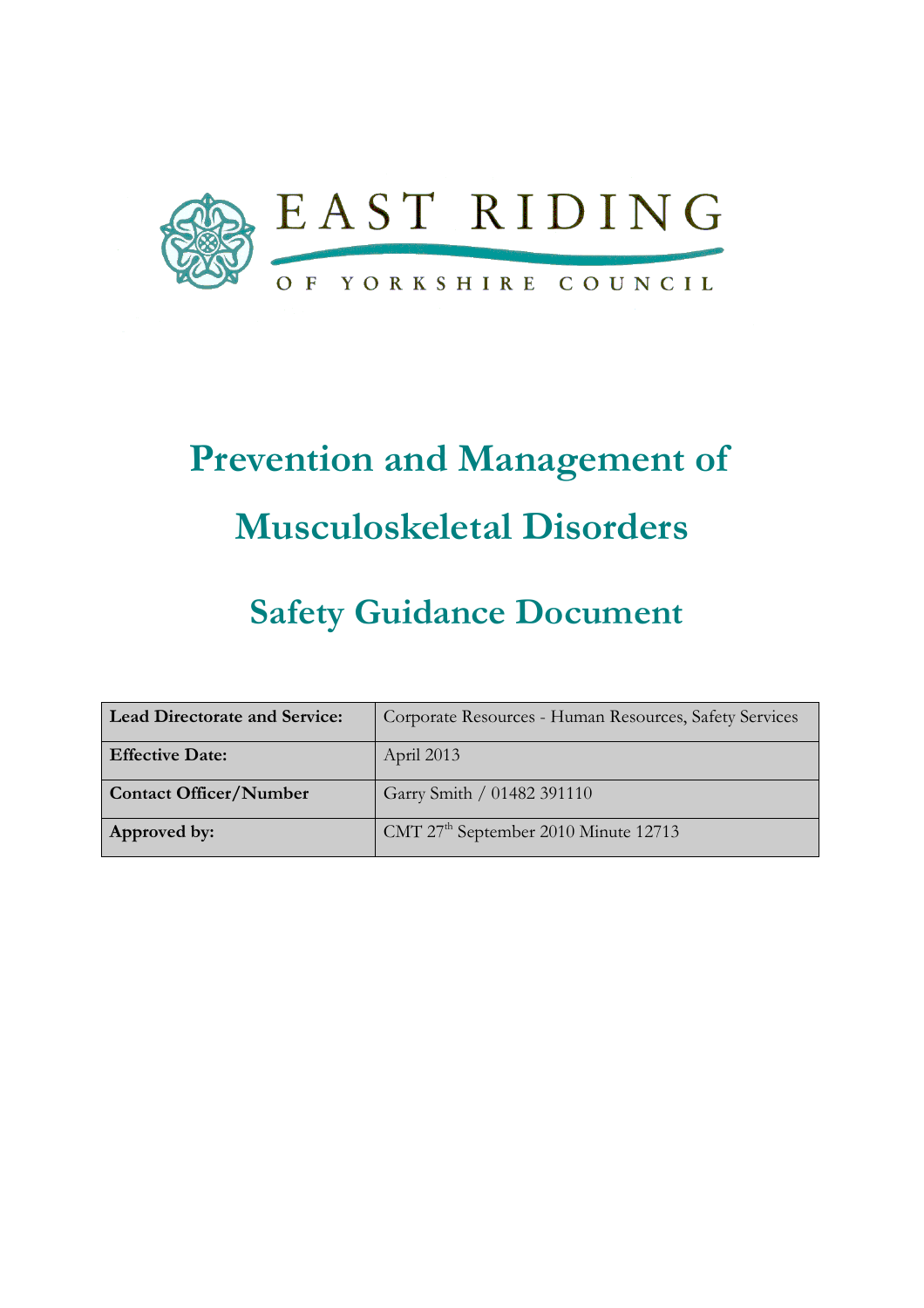

# Prevention and Management of Musculoskeletal Disorders

## Safety Guidance Document

| <b>Lead Directorate and Service:</b> | Corporate Resources - Human Resources, Safety Services |
|--------------------------------------|--------------------------------------------------------|
| <b>Effective Date:</b>               | April 2013                                             |
| <b>Contact Officer/Number</b>        | Garry Smith / 01482 391110                             |
| Approved by:                         | CMT 27 <sup>th</sup> September 2010 Minute 12713       |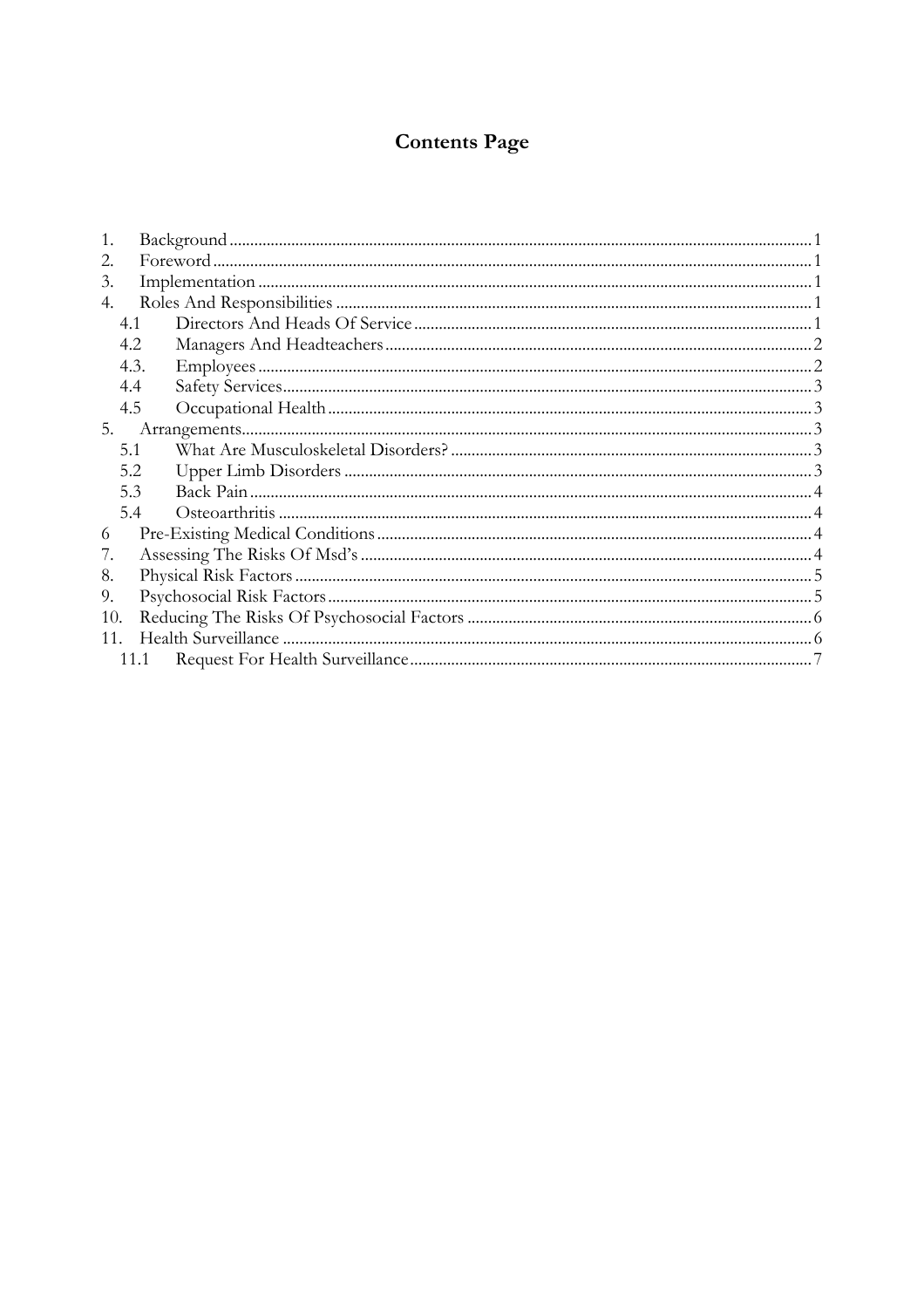### **Contents Page**

| 3.  |      |  |
|-----|------|--|
| 4.  |      |  |
| 4.1 |      |  |
| 4.2 |      |  |
|     | 4.3. |  |
| 4.4 |      |  |
| 4.5 |      |  |
| 5.  |      |  |
| 5.1 |      |  |
| 5.2 |      |  |
| 5.3 |      |  |
| 5.4 |      |  |
| 6   |      |  |
|     |      |  |
| 8.  |      |  |
| 9.  |      |  |
| 10. |      |  |
| 11. |      |  |
|     | 11.1 |  |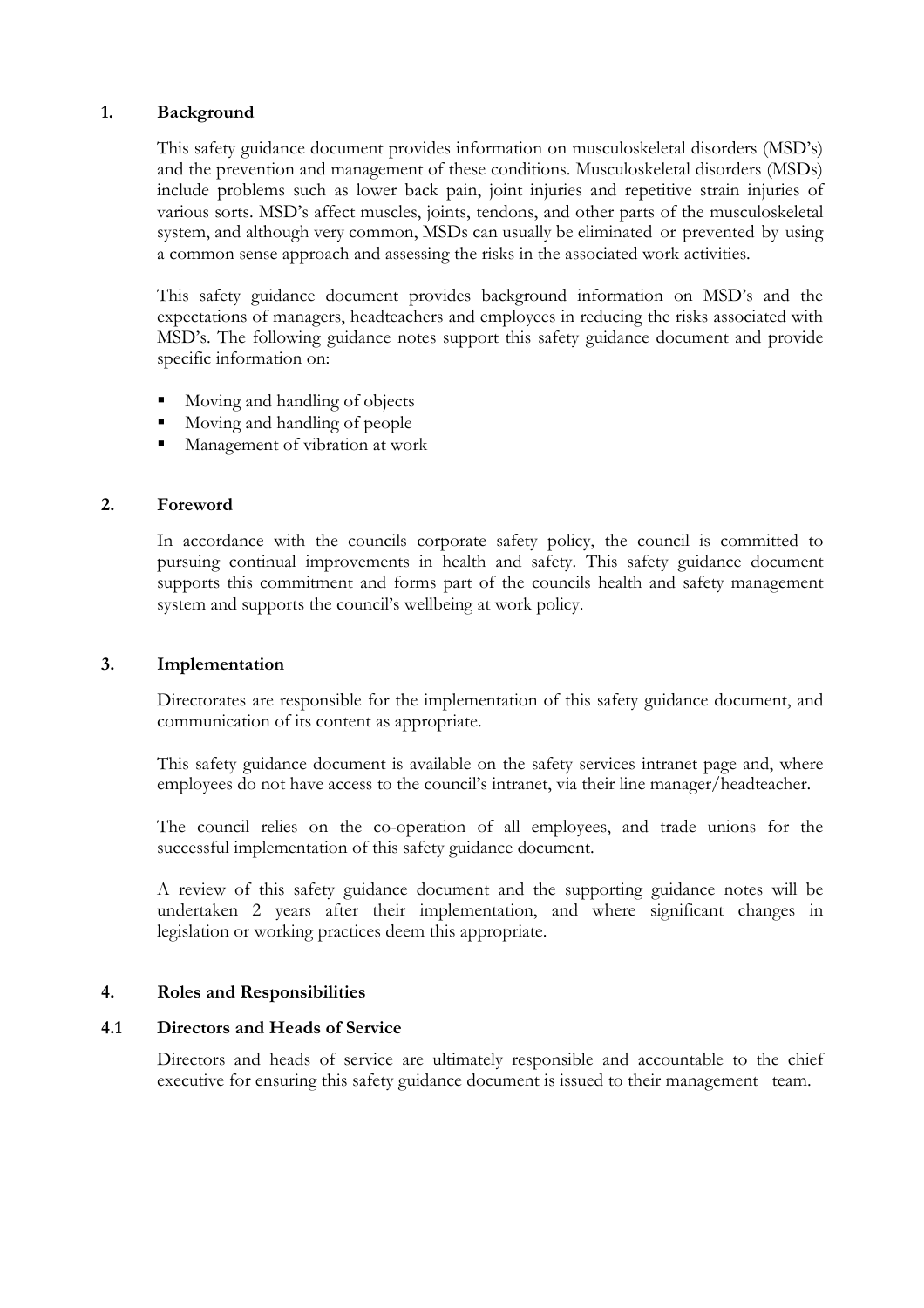#### 1. Background

This safety guidance document provides information on musculoskeletal disorders (MSD's) and the prevention and management of these conditions. Musculoskeletal disorders (MSDs) include problems such as lower back pain, joint injuries and repetitive strain injuries of various sorts. MSD's affect muscles, joints, tendons, and other parts of the musculoskeletal system, and although very common, MSDs can usually be eliminated or prevented by using a common sense approach and assessing the risks in the associated work activities.

This safety guidance document provides background information on MSD's and the expectations of managers, headteachers and employees in reducing the risks associated with MSD's. The following guidance notes support this safety guidance document and provide specific information on:

- Moving and handling of objects
- Moving and handling of people
- Management of vibration at work

#### 2. Foreword

In accordance with the councils corporate safety policy, the council is committed to pursuing continual improvements in health and safety. This safety guidance document supports this commitment and forms part of the councils health and safety management system and supports the council's wellbeing at work policy.

#### 3. Implementation

 Directorates are responsible for the implementation of this safety guidance document, and communication of its content as appropriate.

 This safety guidance document is available on the safety services intranet page and, where employees do not have access to the council's intranet, via their line manager/headteacher.

 The council relies on the co-operation of all employees, and trade unions for the successful implementation of this safety guidance document.

A review of this safety guidance document and the supporting guidance notes will be undertaken 2 years after their implementation, and where significant changes in legislation or working practices deem this appropriate.

#### 4. Roles and Responsibilities

#### 4.1 Directors and Heads of Service

Directors and heads of service are ultimately responsible and accountable to the chief executive for ensuring this safety guidance document is issued to their management team.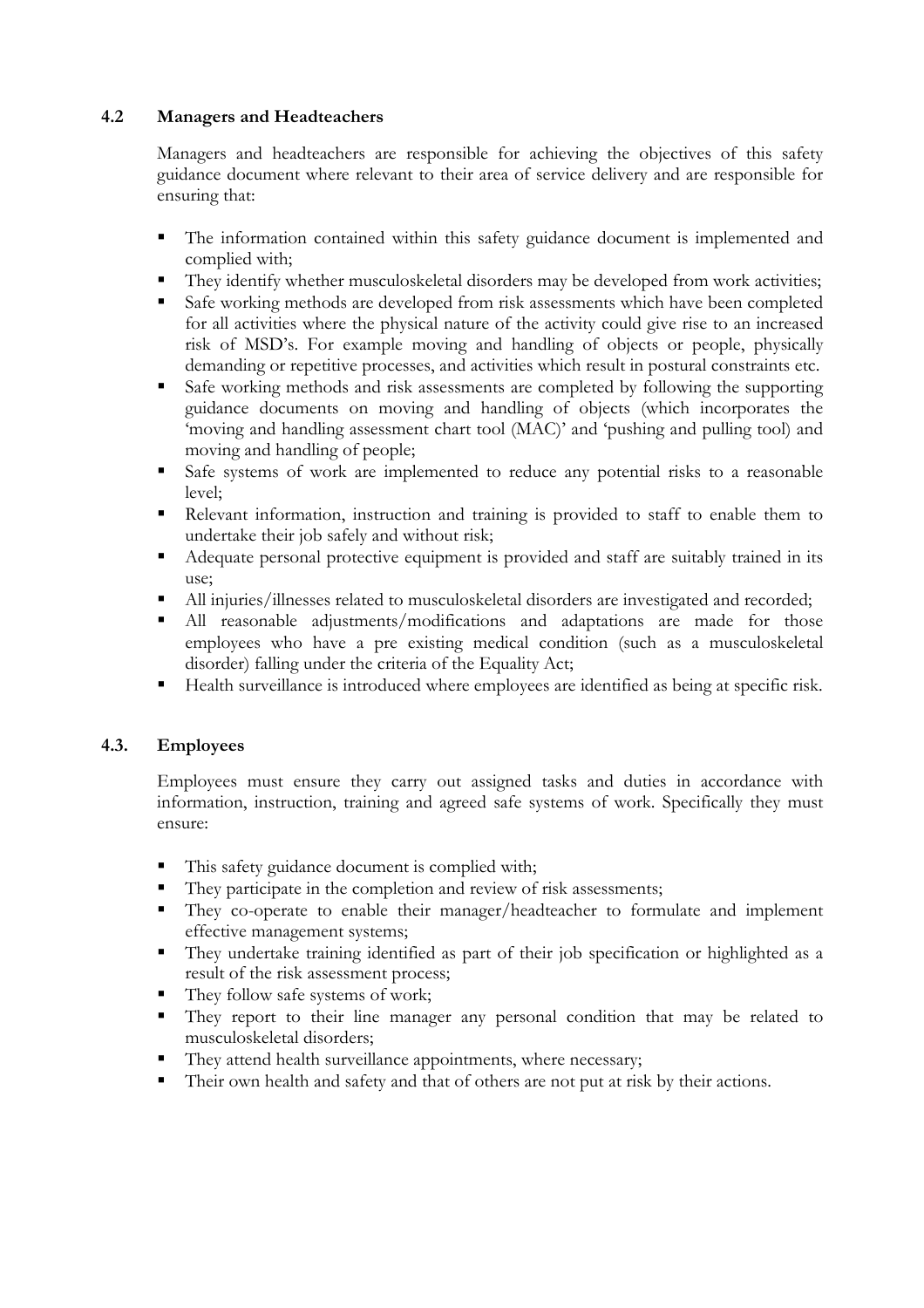#### 4.2 Managers and Headteachers

 Managers and headteachers are responsible for achieving the objectives of this safety guidance document where relevant to their area of service delivery and are responsible for ensuring that:

- The information contained within this safety guidance document is implemented and complied with;
- They identify whether musculoskeletal disorders may be developed from work activities;
- Safe working methods are developed from risk assessments which have been completed for all activities where the physical nature of the activity could give rise to an increased risk of MSD's. For example moving and handling of objects or people, physically demanding or repetitive processes, and activities which result in postural constraints etc.
- Safe working methods and risk assessments are completed by following the supporting guidance documents on moving and handling of objects (which incorporates the 'moving and handling assessment chart tool (MAC)' and 'pushing and pulling tool) and moving and handling of people;
- Safe systems of work are implemented to reduce any potential risks to a reasonable level;
- Relevant information, instruction and training is provided to staff to enable them to undertake their job safely and without risk;
- Adequate personal protective equipment is provided and staff are suitably trained in its use;
- All injuries/illnesses related to musculoskeletal disorders are investigated and recorded;
- All reasonable adjustments/modifications and adaptations are made for those employees who have a pre existing medical condition (such as a musculoskeletal disorder) falling under the criteria of the Equality Act;
- Health surveillance is introduced where employees are identified as being at specific risk.

#### 4.3. Employees

Employees must ensure they carry out assigned tasks and duties in accordance with information, instruction, training and agreed safe systems of work. Specifically they must ensure:

- This safety guidance document is complied with;
- They participate in the completion and review of risk assessments;
- They co-operate to enable their manager/headteacher to formulate and implement effective management systems;
- They undertake training identified as part of their job specification or highlighted as a result of the risk assessment process;
- They follow safe systems of work;
- They report to their line manager any personal condition that may be related to musculoskeletal disorders;
- They attend health surveillance appointments, where necessary;
- Their own health and safety and that of others are not put at risk by their actions.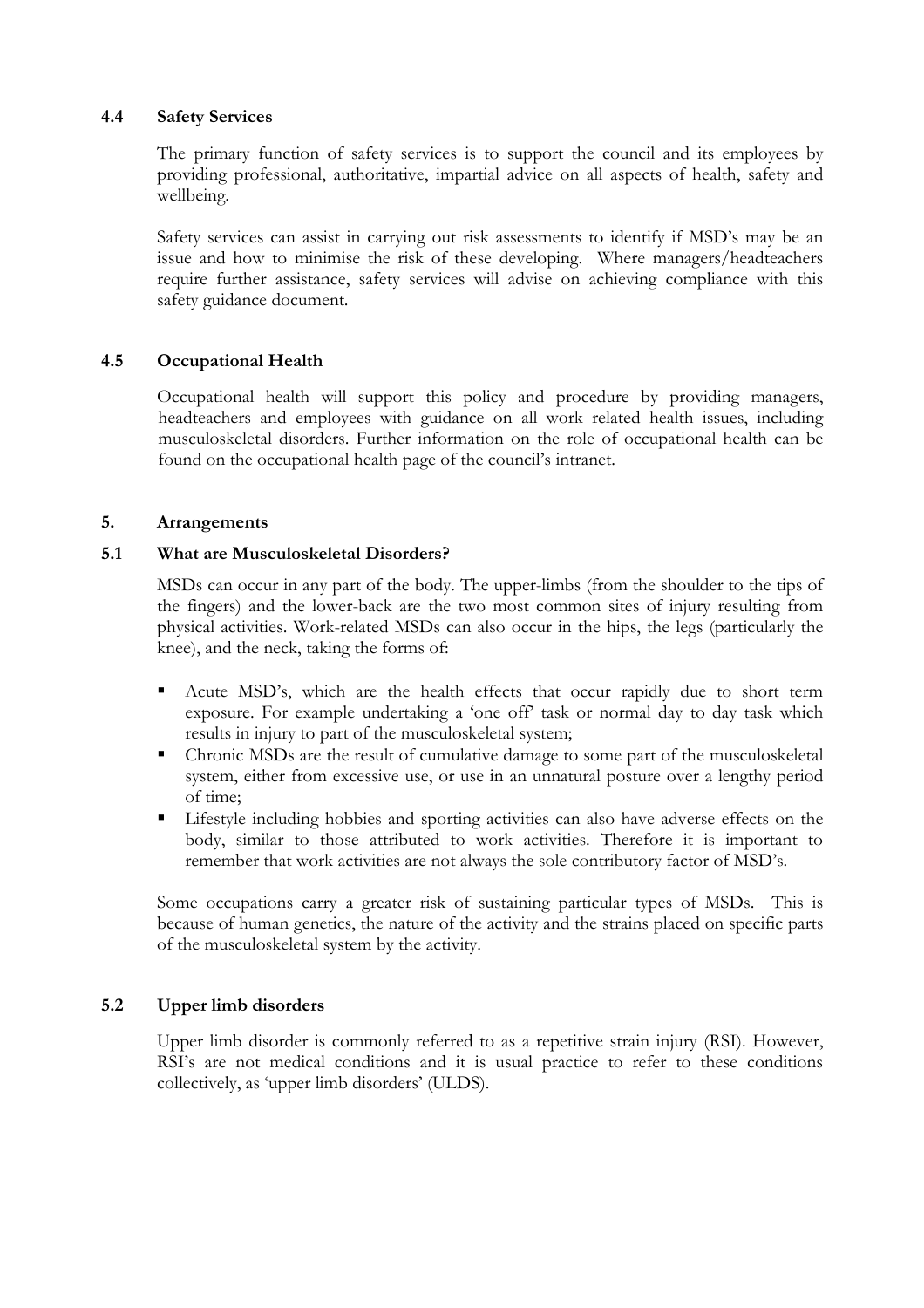#### 4.4 Safety Services

The primary function of safety services is to support the council and its employees by providing professional, authoritative, impartial advice on all aspects of health, safety and wellbeing.

Safety services can assist in carrying out risk assessments to identify if MSD's may be an issue and how to minimise the risk of these developing. Where managers/headteachers require further assistance, safety services will advise on achieving compliance with this safety guidance document.

#### 4.5 Occupational Health

 Occupational health will support this policy and procedure by providing managers, headteachers and employees with guidance on all work related health issues, including musculoskeletal disorders. Further information on the role of occupational health can be found on the occupational health page of the council's intranet.

#### 5. Arrangements

#### 5.1 What are Musculoskeletal Disorders?

MSDs can occur in any part of the body. The upper-limbs (from the shoulder to the tips of the fingers) and the lower-back are the two most common sites of injury resulting from physical activities. Work-related MSDs can also occur in the hips, the legs (particularly the knee), and the neck, taking the forms of:

- Acute MSD's, which are the health effects that occur rapidly due to short term exposure. For example undertaking a 'one off' task or normal day to day task which results in injury to part of the musculoskeletal system;
- Chronic MSDs are the result of cumulative damage to some part of the musculoskeletal system, either from excessive use, or use in an unnatural posture over a lengthy period of time;
- Lifestyle including hobbies and sporting activities can also have adverse effects on the body, similar to those attributed to work activities. Therefore it is important to remember that work activities are not always the sole contributory factor of MSD's.

Some occupations carry a greater risk of sustaining particular types of MSDs. This is because of human genetics, the nature of the activity and the strains placed on specific parts of the musculoskeletal system by the activity.

#### 5.2 Upper limb disorders

Upper limb disorder is commonly referred to as a repetitive strain injury (RSI). However, RSI's are not medical conditions and it is usual practice to refer to these conditions collectively, as 'upper limb disorders' (ULDS).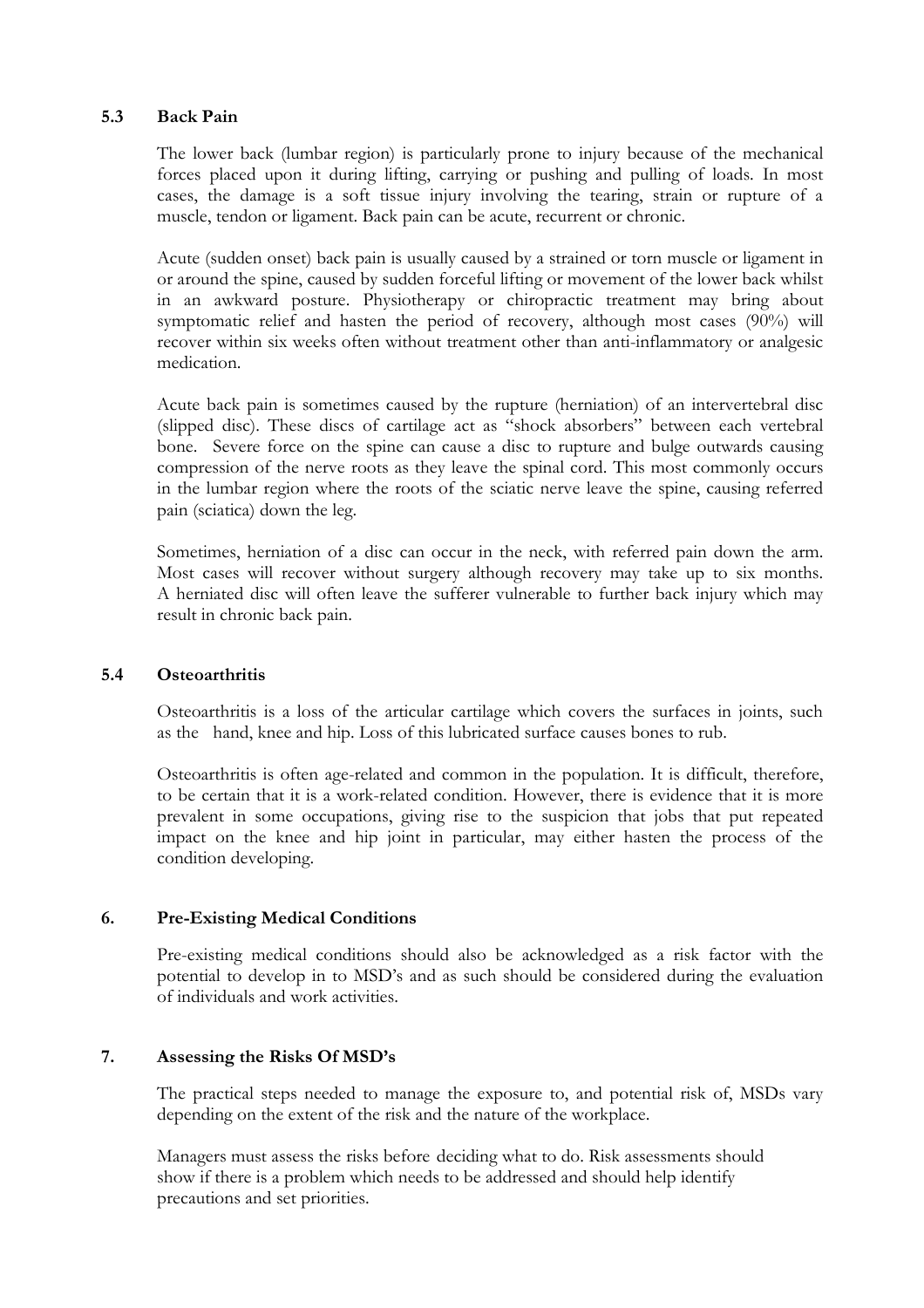#### 5.3 Back Pain

The lower back (lumbar region) is particularly prone to injury because of the mechanical forces placed upon it during lifting, carrying or pushing and pulling of loads. In most cases, the damage is a soft tissue injury involving the tearing, strain or rupture of a muscle, tendon or ligament. Back pain can be acute, recurrent or chronic.

Acute (sudden onset) back pain is usually caused by a strained or torn muscle or ligament in or around the spine, caused by sudden forceful lifting or movement of the lower back whilst in an awkward posture. Physiotherapy or chiropractic treatment may bring about symptomatic relief and hasten the period of recovery, although most cases (90%) will recover within six weeks often without treatment other than anti-inflammatory or analgesic medication.

Acute back pain is sometimes caused by the rupture (herniation) of an intervertebral disc (slipped disc). These discs of cartilage act as "shock absorbers" between each vertebral bone. Severe force on the spine can cause a disc to rupture and bulge outwards causing compression of the nerve roots as they leave the spinal cord. This most commonly occurs in the lumbar region where the roots of the sciatic nerve leave the spine, causing referred pain (sciatica) down the leg.

Sometimes, herniation of a disc can occur in the neck, with referred pain down the arm. Most cases will recover without surgery although recovery may take up to six months. A herniated disc will often leave the sufferer vulnerable to further back injury which may result in chronic back pain.

#### 5.4 Osteoarthritis

Osteoarthritis is a loss of the articular cartilage which covers the surfaces in joints, such as the hand, knee and hip. Loss of this lubricated surface causes bones to rub.

Osteoarthritis is often age-related and common in the population. It is difficult, therefore, to be certain that it is a work-related condition. However, there is evidence that it is more prevalent in some occupations, giving rise to the suspicion that jobs that put repeated impact on the knee and hip joint in particular, may either hasten the process of the condition developing.

#### 6. Pre-Existing Medical Conditions

Pre-existing medical conditions should also be acknowledged as a risk factor with the potential to develop in to MSD's and as such should be considered during the evaluation of individuals and work activities.

#### 7. Assessing the Risks Of MSD's

 The practical steps needed to manage the exposure to, and potential risk of, MSDs vary depending on the extent of the risk and the nature of the workplace.

 Managers must assess the risks before deciding what to do. Risk assessments should show if there is a problem which needs to be addressed and should help identify precautions and set priorities.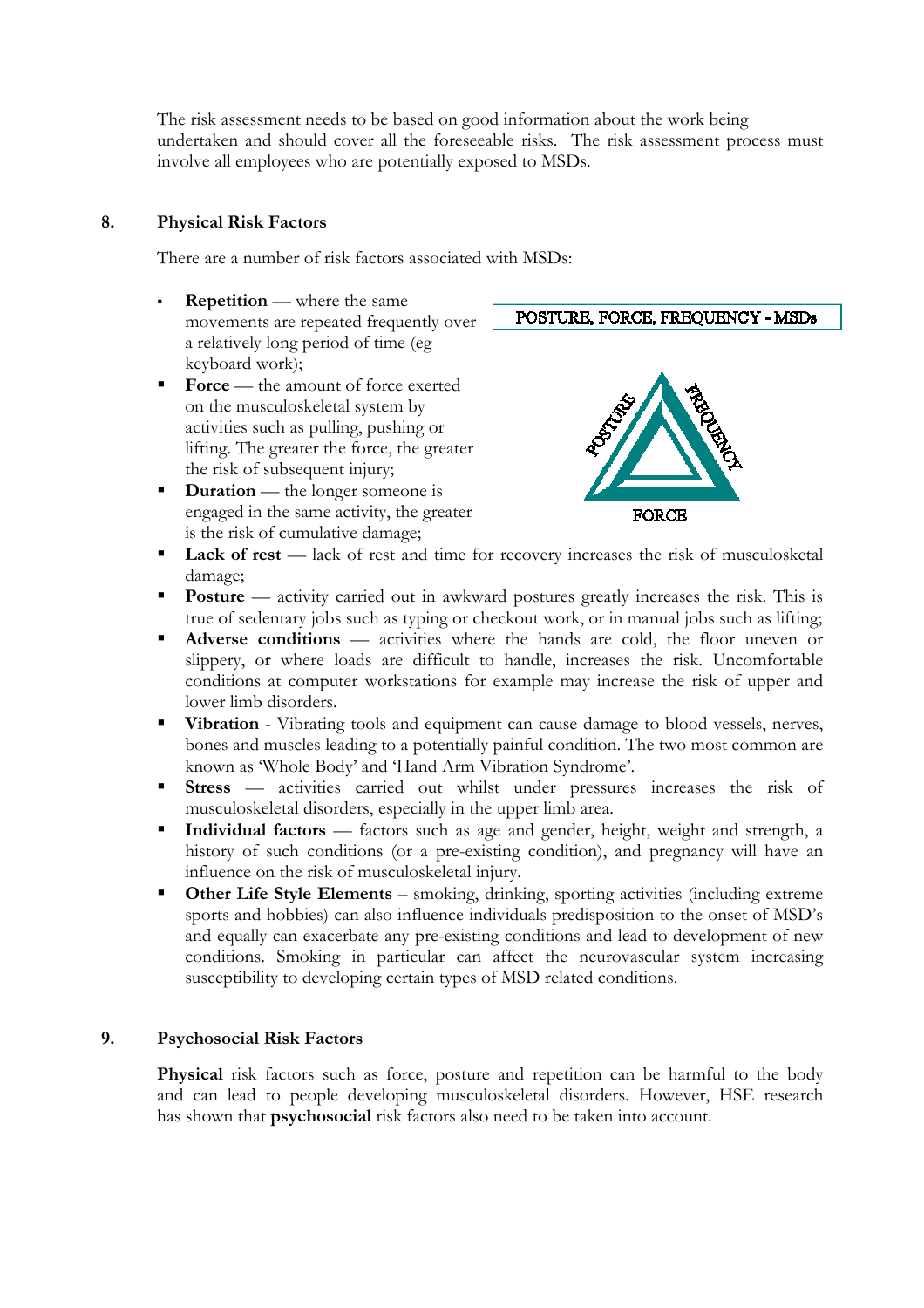The risk assessment needs to be based on good information about the work being undertaken and should cover all the foreseeable risks. The risk assessment process must involve all employees who are potentially exposed to MSDs.

#### 8. Physical Risk Factors

There are a number of risk factors associated with MSDs:

- Repetition where the same movements are repeated frequently over a relatively long period of time (eg keyboard work);
- Force the amount of force exerted on the musculoskeletal system by activities such as pulling, pushing or lifting. The greater the force, the greater the risk of subsequent injury;
- Duration the longer someone is engaged in the same activity, the greater is the risk of cumulative damage;



POSTURE, FORCE, FREQUENCY - MSDs

- Lack of rest lack of rest and time for recovery increases the risk of musculosketal damage;
- Posture activity carried out in awkward postures greatly increases the risk. This is true of sedentary jobs such as typing or checkout work, or in manual jobs such as lifting;
- Adverse conditions activities where the hands are cold, the floor uneven or slippery, or where loads are difficult to handle, increases the risk. Uncomfortable conditions at computer workstations for example may increase the risk of upper and lower limb disorders.
- Vibration Vibrating tools and equipment can cause damage to blood vessels, nerves, bones and muscles leading to a potentially painful condition. The two most common are known as 'Whole Body' and 'Hand Arm Vibration Syndrome'.
- Stress activities carried out whilst under pressures increases the risk of musculoskeletal disorders, especially in the upper limb area.
- Individual factors factors such as age and gender, height, weight and strength, a history of such conditions (or a pre-existing condition), and pregnancy will have an influence on the risk of musculoskeletal injury.
- Other Life Style Elements smoking, drinking, sporting activities (including extreme sports and hobbies) can also influence individuals predisposition to the onset of MSD's and equally can exacerbate any pre-existing conditions and lead to development of new conditions. Smoking in particular can affect the neurovascular system increasing susceptibility to developing certain types of MSD related conditions.

#### 9. Psychosocial Risk Factors

Physical risk factors such as force, posture and repetition can be harmful to the body and can lead to people developing musculoskeletal disorders. However, HSE research has shown that psychosocial risk factors also need to be taken into account.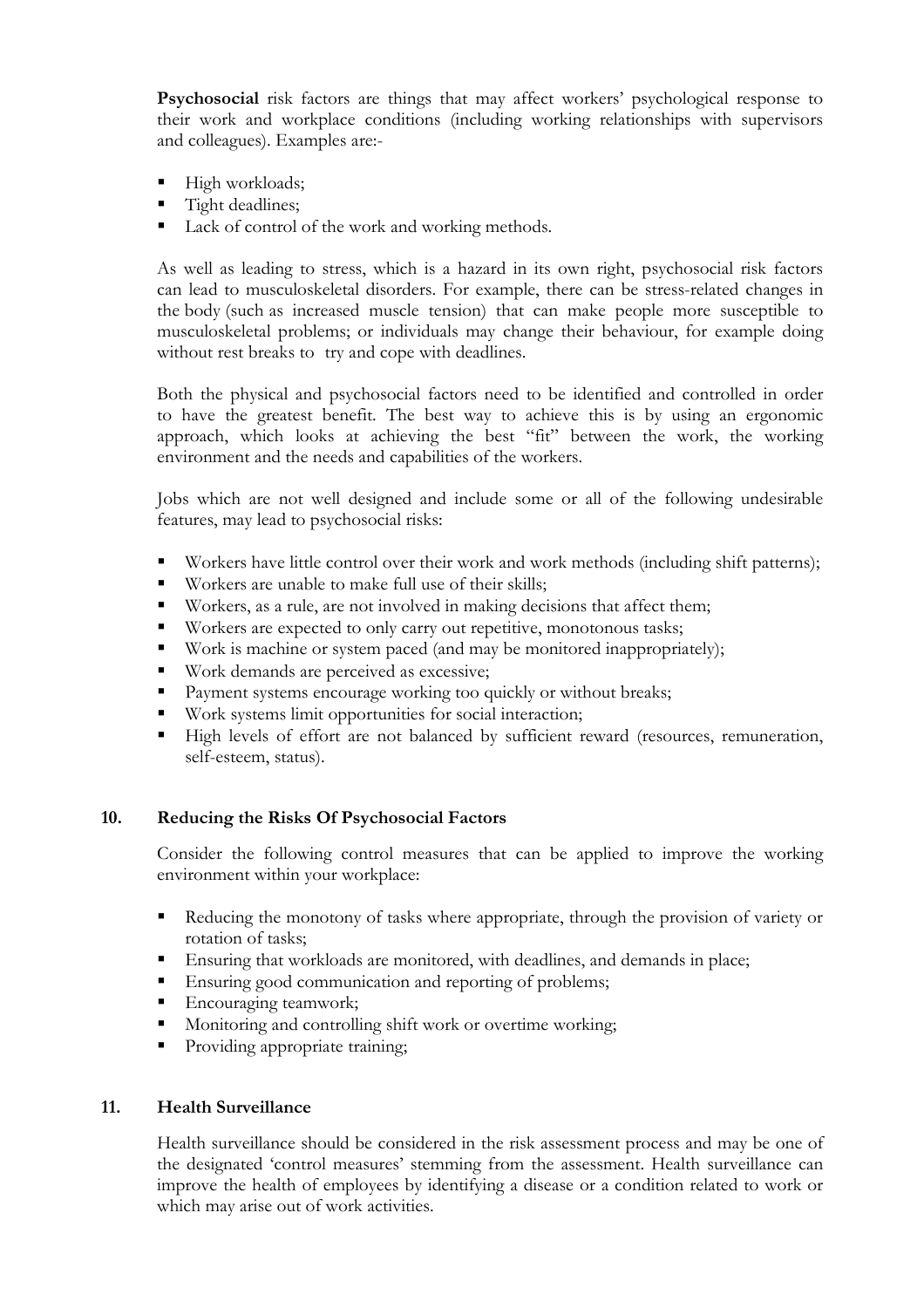Psychosocial risk factors are things that may affect workers' psychological response to their work and workplace conditions (including working relationships with supervisors and colleagues). Examples are:-

- High workloads;
- **Tight deadlines;**
- Lack of control of the work and working methods.

As well as leading to stress, which is a hazard in its own right, psychosocial risk factors can lead to musculoskeletal disorders. For example, there can be stress-related changes in the body (such as increased muscle tension) that can make people more susceptible to musculoskeletal problems; or individuals may change their behaviour, for example doing without rest breaks to try and cope with deadlines.

Both the physical and psychosocial factors need to be identified and controlled in order to have the greatest benefit. The best way to achieve this is by using an ergonomic approach, which looks at achieving the best "fit" between the work, the working environment and the needs and capabilities of the workers.

Jobs which are not well designed and include some or all of the following undesirable features, may lead to psychosocial risks:

- Workers have little control over their work and work methods (including shift patterns);
- Workers are unable to make full use of their skills;
- Workers, as a rule, are not involved in making decisions that affect them;
- Workers are expected to only carry out repetitive, monotonous tasks;
- Work is machine or system paced (and may be monitored inappropriately);
- Work demands are perceived as excessive;
- **Payment systems encourage working too quickly or without breaks;**
- Work systems limit opportunities for social interaction;
- High levels of effort are not balanced by sufficient reward (resources, remuneration, self-esteem, status).

#### 10. Reducing the Risks Of Psychosocial Factors

Consider the following control measures that can be applied to improve the working environment within your workplace:

- Reducing the monotony of tasks where appropriate, through the provision of variety or rotation of tasks;
- Ensuring that workloads are monitored, with deadlines, and demands in place;
- Ensuring good communication and reporting of problems;
- Encouraging teamwork;
- **Monitoring and controlling shift work or overtime working;**
- Providing appropriate training;

#### 11. Health Surveillance

Health surveillance should be considered in the risk assessment process and may be one of the designated 'control measures' stemming from the assessment. Health surveillance can improve the health of employees by identifying a disease or a condition related to work or which may arise out of work activities.